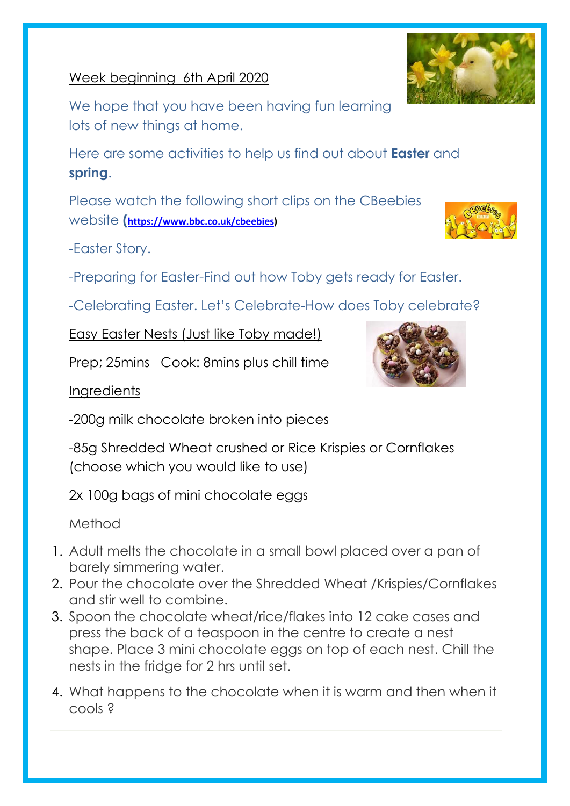# Week beginning 6th April 2020

We hope that you have been having fun learning lots of new things at home.

Here are some activities to help us find out about **Easter** and **spring**.

Please watch the following short clips on the CBeebies website **([https://www.bbc.co.uk/cbeebies\)](https://www.bbc.co.uk/cbeebies)**

-Easter Story.

-Preparing for Easter-Find out how Toby gets ready for Easter.

-Celebrating Easter. Let's Celebrate-How does Toby celebrate?

Easy Easter Nests (Just like Toby made!)

Prep; 25mins Cook: 8mins plus chill time

### **Ingredients**

-200g milk chocolate broken into pieces

-85g Shredded Wheat crushed or Rice Krispies or Cornflakes (choose which you would like to use)

2x 100g bags of mini chocolate eggs

# Method

- 1. Adult melts the chocolate in a small bowl placed over a pan of barely simmering water.
- 2. Pour the chocolate over the Shredded Wheat /Krispies/Cornflakes and stir well to combine.
- 3. Spoon the chocolate wheat/rice/flakes into 12 cake cases and press the back of a teaspoon in the centre to create a nest shape. Place 3 mini chocolate eggs on top of each nest. Chill the nests in the fridge for 2 hrs until set.
- 4. What happens to the chocolate when it is warm and then when it cools ?





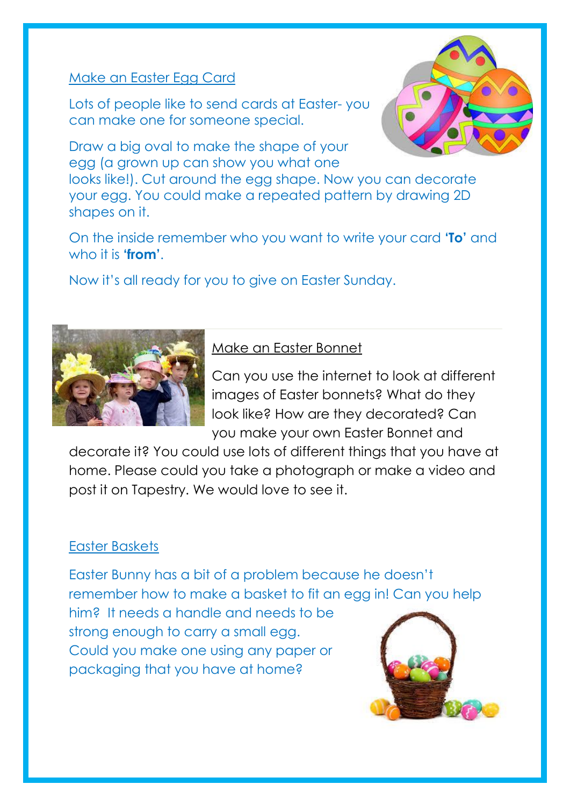#### Make an Easter Egg Card

Lots of people like to send cards at Easter- you can make one for someone special.

Draw a big oval to make the shape of your egg (a grown up can show you what one

looks like!). Cut around the egg shape. Now you can decorate your egg. You could make a repeated pattern by drawing 2D shapes on it.

On the inside remember who you want to write your card **'To'** and who it is **'from'**.

Now it's all ready for you to give on Easter Sunday.



# Make an Easter Bonnet

Can you use the internet to look at different images of Easter bonnets? What do they look like? How are they decorated? Can you make your own Easter Bonnet and

decorate it? You could use lots of different things that you have at home. Please could you take a photograph or make a video and post it on Tapestry. We would love to see it.

#### Easter Baskets

Easter Bunny has a bit of a problem because he doesn't remember how to make a basket to fit an egg in! Can you help

him? It needs a handle and needs to be strong enough to carry a small egg. Could you make one using any paper or packaging that you have at home?